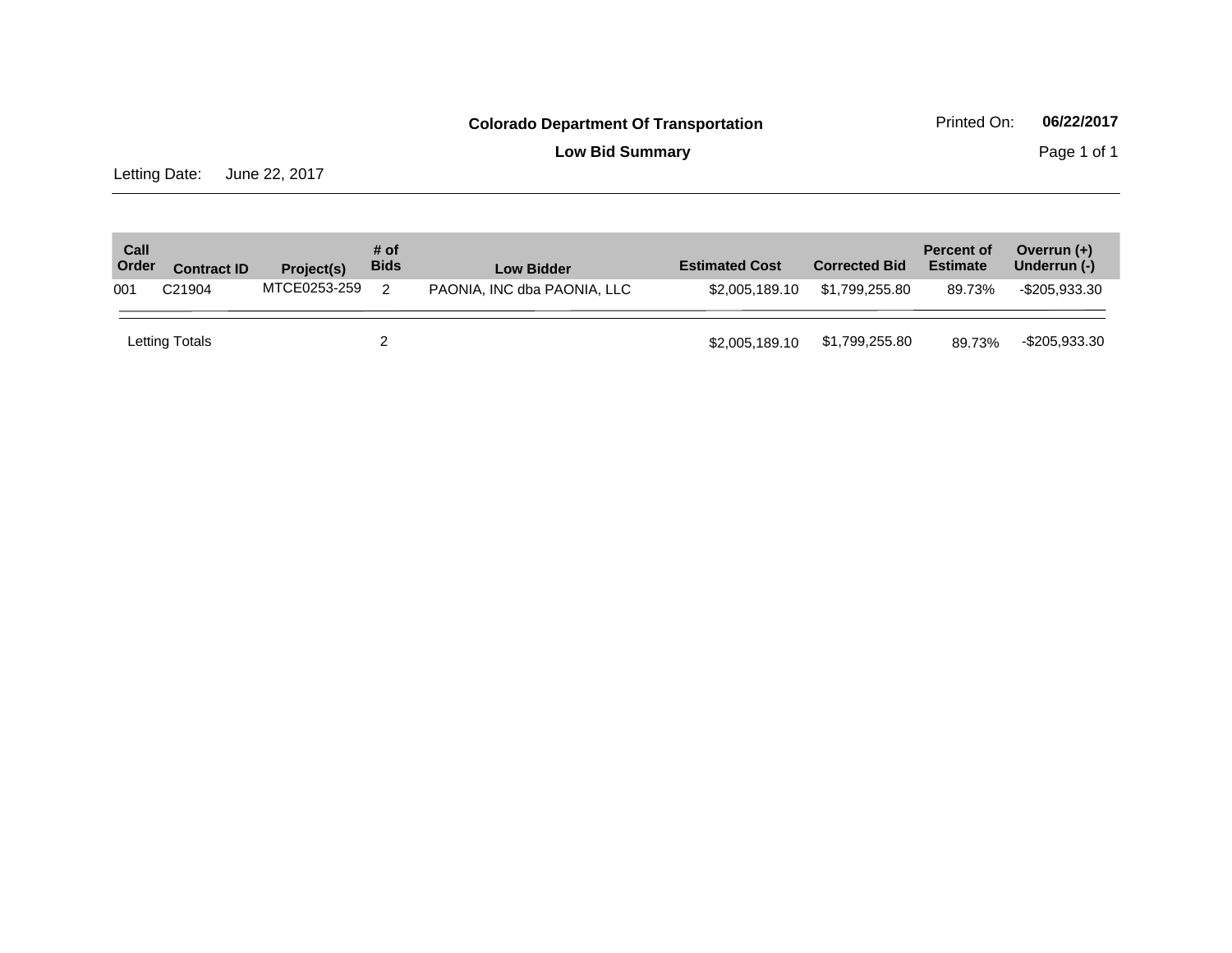**Low Bid Summary** Page 1 of 1

Letting Date: June 22, 2017

| Call<br>Order | <b>Contract ID</b> | Project(s)   | # of<br><b>Bids</b> | <b>Low Bidder</b>           | <b>Estimated Cost</b> | <b>Corrected Bid</b> | <b>Percent of</b><br><b>Estimate</b> | Overrun $(+)$<br>Underrun (-) |
|---------------|--------------------|--------------|---------------------|-----------------------------|-----------------------|----------------------|--------------------------------------|-------------------------------|
| 001           | C <sub>21904</sub> | MTCE0253-259 | $\mathcal{P}$       | PAONIA, INC dba PAONIA, LLC | \$2,005,189,10        | \$1.799.255.80       | 89.73%                               | -\$205.933.30                 |
|               | Letting Totals     |              |                     |                             | \$2,005,189.10        | \$1,799,255.80       | 89.73%                               | -\$205,933.30                 |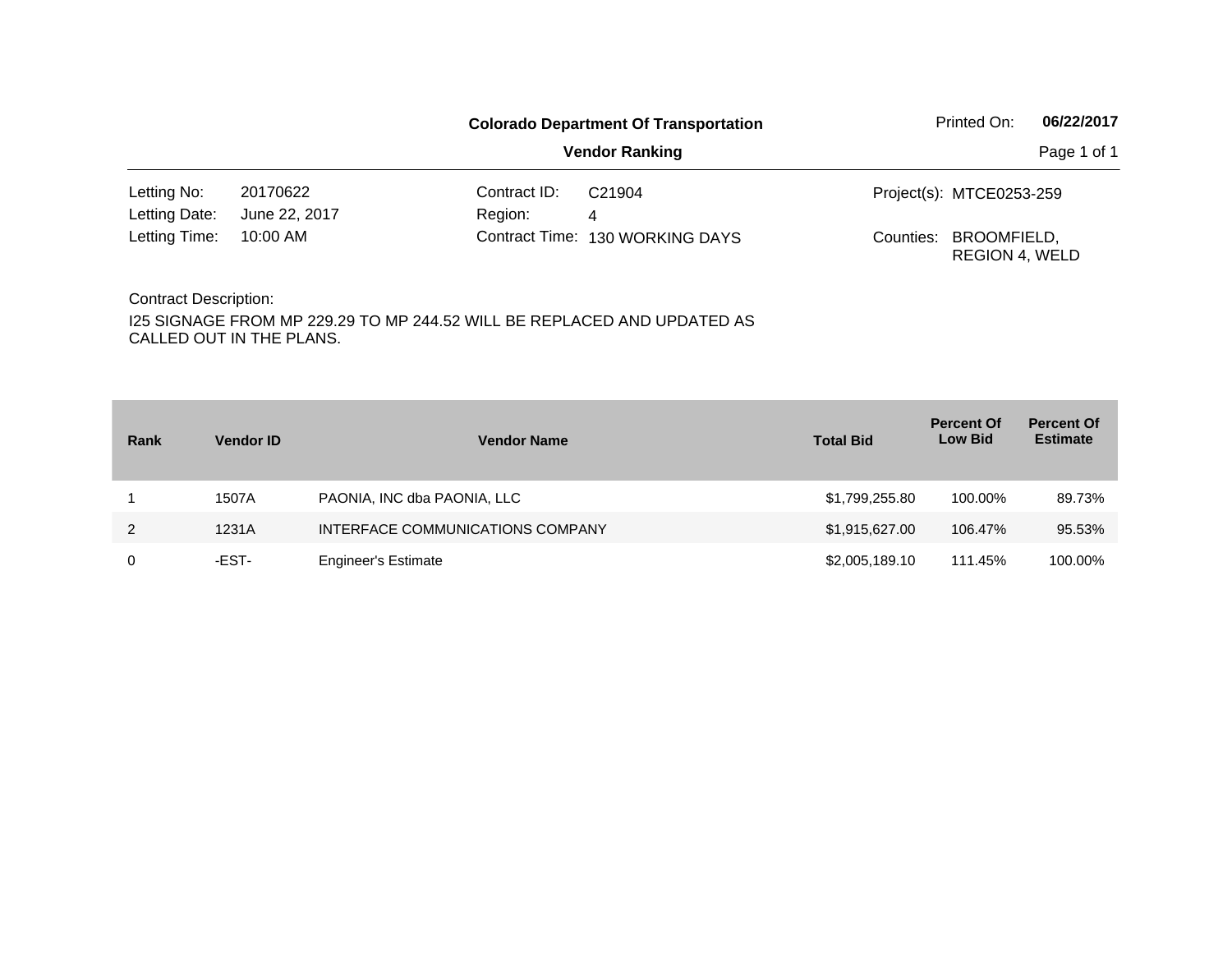|               |               |              | <b>Colorado Department Of Transportation</b> |           | Printed On:                          | 06/22/2017  |
|---------------|---------------|--------------|----------------------------------------------|-----------|--------------------------------------|-------------|
|               |               |              | <b>Vendor Ranking</b>                        |           |                                      | Page 1 of 1 |
| Letting No:   | 20170622      | Contract ID: | C21904                                       |           | Project(s): MTCE0253-259             |             |
| Letting Date: | June 22, 2017 | Region:      | 4                                            |           |                                      |             |
| Letting Time: | 10:00 AM      |              | Contract Time: 130 WORKING DAYS              | Counties: | BROOMFIELD,<br><b>REGION 4, WELD</b> |             |

| Rank | <b>Vendor ID</b> | <b>Vendor Name</b>               | <b>Total Bid</b> | <b>Percent Of</b><br><b>Low Bid</b> | <b>Percent Of</b><br><b>Estimate</b> |
|------|------------------|----------------------------------|------------------|-------------------------------------|--------------------------------------|
|      | 1507A            | PAONIA, INC dba PAONIA, LLC      | \$1,799,255.80   | 100.00%                             | 89.73%                               |
| 2    | 1231A            | INTERFACE COMMUNICATIONS COMPANY | \$1,915,627.00   | 106.47%                             | 95.53%                               |
| 0    | -EST-            | <b>Engineer's Estimate</b>       | \$2,005,189.10   | 111.45%                             | 100.00%                              |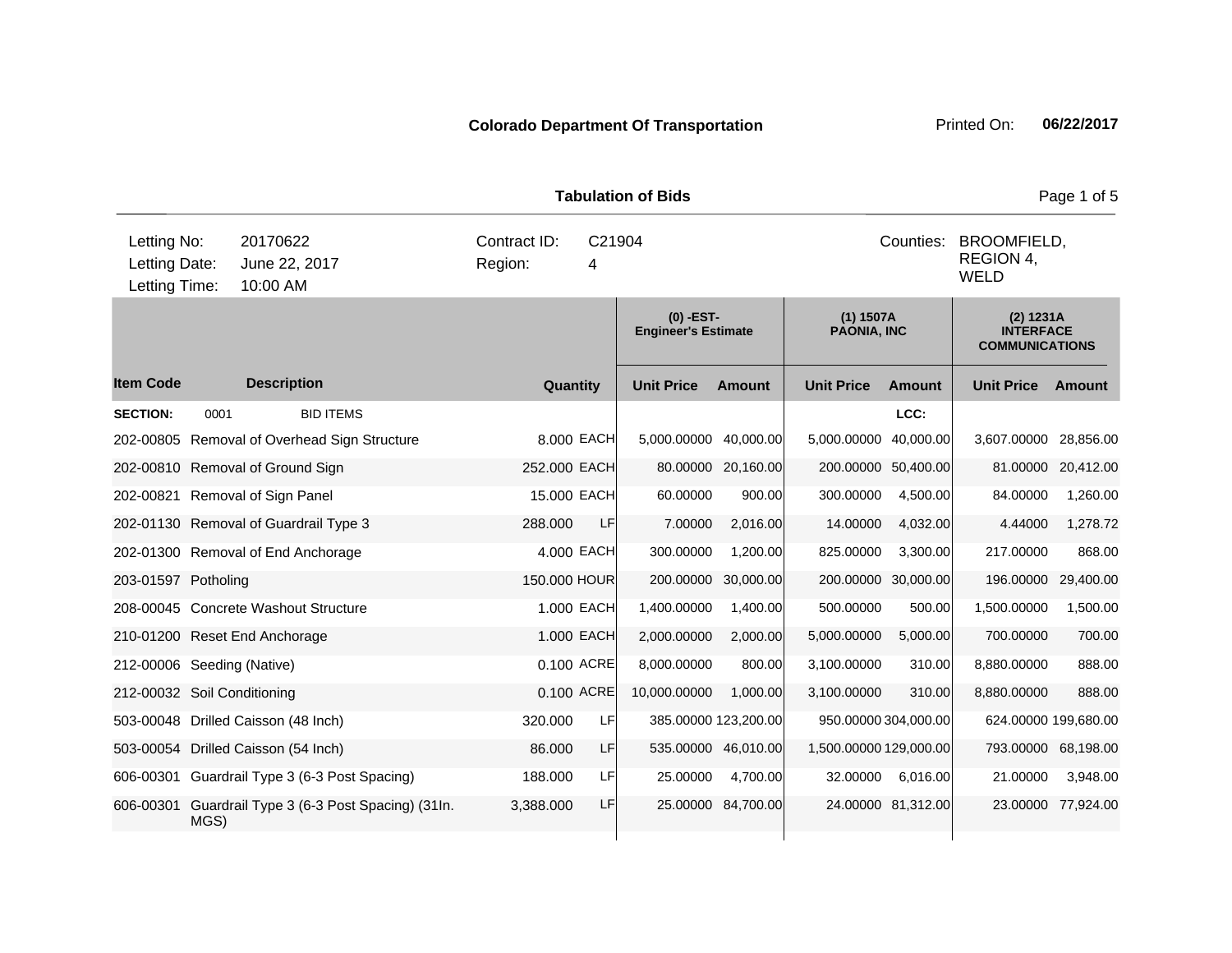**Quantity Unit Price Unit Price Ext** Item Code Description Quantity Unit Price Amount Unit Price Amount Unit Price **Ext Unit Price Amount Ext Amount (0) -EST-Engineer's Estimate (1) 1507A PAONIA, INC (2) 1231A INTERFACE COMMUNICATIONS Description SECTION:** 0001 BID ITEMS **LCC:** 202-00805 Removal of Overhead Sign Structure 8.000 EACH 5,000.00000 40,000.00 5,000.00000 40,000.00 3,607.00000 28,856.00 202-00810 Removal of Ground Sign 252.000 EACH 80.00000 20,160.00 200.00000 50,400.00 81.00000 20,412.00 202-00821 Removal of Sign Panel 15.000 EACH 60.00000 900.00 300.00000 4,500.00 84.00000 1,260.00 202-01130 Removal of Guardrail Type 3 288.000 LF 7.00000 2,016.00 14.00000 4,032.00 4.44000 1,278.72 202-01300 Removal of End Anchorage 4.000 EACH 300.00000 1,200.00 825.00000 3,300.00 217.00000 868.00 203-01597 Potholing 150.000 HOUR 200.00000 30,000.00 200.00000 30,000.00 196.00000 29,400.00 208-00045 Concrete Washout Structure 1.000 EACH 1,400.00000 1,400.00 500.00000 500.00 1,500.00000 1,500.00 210-01200 Reset End Anchorage 1.000 EACH 2,000.00000 2,000.00 5,000.00000 5,000.00 700.00000 700.00 212-00006 Seeding (Native) 0.100 ACRE 8,000.00000 800.00 3,100.00000 310.00 8,880.00000 888.00 212-00032 Soil Conditioning 0.100 ACRE 10,000.00000 1,000.00 3,100.00000 310.00 8,880.00000 888.00 503-00048 Drilled Caisson (48 Inch) 320.000 LF 385.00000 123,200.00 950.00000 304,000.00 624.00000 199,680.00 503-00054 Drilled Caisson (54 Inch) 86.000 LF 535.00000 46,010.00 1,500.00000 129,000.00 793.00000 68,198.00 606-00301 Guardrail Type 3 (6-3 Post Spacing) 188.000 LF 25.00000 4,700.00 32.00000 6,016.00 21.00000 3,948.00 606-00301 Guardrail Type 3 (6-3 Post Spacing) (31In. MGS) 3,388.000 LF 25.00000 84,700.00 24.00000 81,312.00 23.00000 77,924.00 10:00 AM Counties: BROOMFIELD. REGION 4, WELD Letting Date: June 22, 2017 <sup>4</sup> C21904 Region: Letting Time: Letting No: 20170622 Contract ID: Counties:

**Tabulation of Bids Page 1 of 5 Page 1 of 5**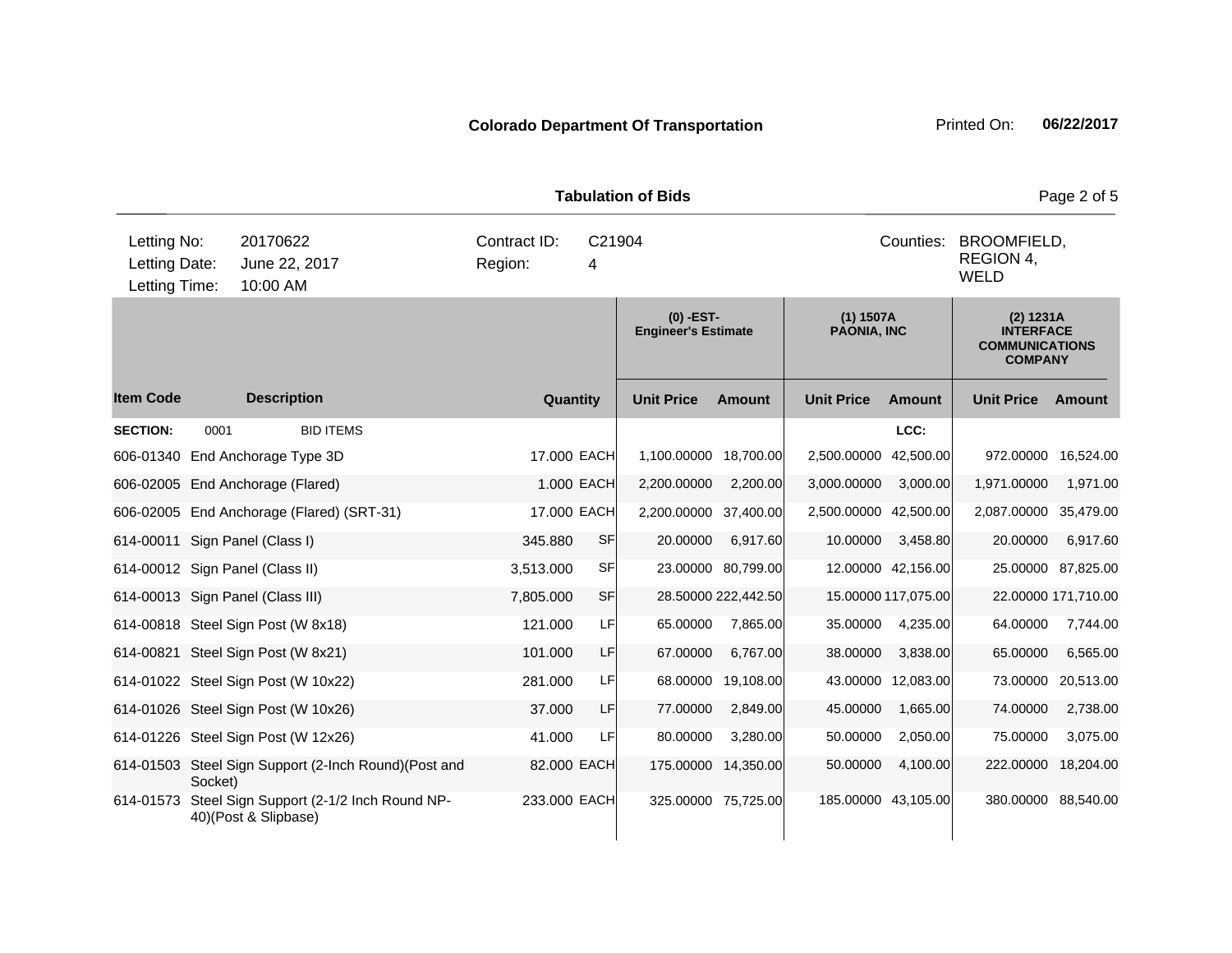|                                               |         |                                       |                                                      |                         |           |              | <b>Tabulation of Bids</b>                 |                     |                                   |                                                      |                                                                          | Page 2 of 5         |  |
|-----------------------------------------------|---------|---------------------------------------|------------------------------------------------------|-------------------------|-----------|--------------|-------------------------------------------|---------------------|-----------------------------------|------------------------------------------------------|--------------------------------------------------------------------------|---------------------|--|
| Letting No:<br>Letting Date:<br>Letting Time: |         | 20170622<br>June 22, 2017<br>10:00 AM |                                                      | Contract ID:<br>Region: |           | C21904<br>4  |                                           |                     |                                   | Counties:<br>BROOMFIELD,<br>REGION 4,<br><b>WELD</b> |                                                                          |                     |  |
|                                               |         |                                       |                                                      |                         |           |              | $(0)$ -EST-<br><b>Engineer's Estimate</b> |                     | $(1)$ 1507A<br><b>PAONIA, INC</b> |                                                      | (2) 1231A<br><b>INTERFACE</b><br><b>COMMUNICATIONS</b><br><b>COMPANY</b> |                     |  |
| <b>Item Code</b>                              |         | <b>Description</b>                    |                                                      |                         |           | Quantity     | <b>Unit Price</b>                         | <b>Amount</b>       | <b>Unit Price</b>                 | Amount                                               | <b>Unit Price</b>                                                        | <b>Amount</b>       |  |
| <b>SECTION:</b>                               | 0001    |                                       | <b>BID ITEMS</b>                                     |                         |           |              |                                           |                     |                                   | LCC:                                                 |                                                                          |                     |  |
| 606-01340 End Anchorage Type 3D               |         |                                       |                                                      |                         |           | 17.000 EACH  | 1,100.00000                               | 18,700.00           | 2,500.00000                       | 42,500.00                                            | 972.00000                                                                | 16,524.00           |  |
| 606-02005 End Anchorage (Flared)              |         |                                       |                                                      |                         |           | 1.000 EACH   | 2,200.00000                               | 2,200.00            | 3,000.00000                       | 3,000.00                                             | 1,971.00000                                                              | 1,971.00            |  |
|                                               |         |                                       | 606-02005 End Anchorage (Flared) (SRT-31)            |                         |           | 17.000 EACH  | 2,200.00000                               | 37,400.00           | 2,500.00000 42,500.00             |                                                      | 2,087.00000                                                              | 35,479.00           |  |
| 614-00011 Sign Panel (Class I)                |         |                                       |                                                      |                         | 345.880   | <b>SF</b>    | 20.00000                                  | 6,917.60            | 10.00000                          | 3,458.80                                             | 20.00000                                                                 | 6,917.60            |  |
| 614-00012 Sign Panel (Class II)               |         |                                       |                                                      |                         | 3,513.000 | <b>SF</b>    |                                           | 23.00000 80,799.00  |                                   | 12.00000 42,156.00                                   | 25.00000                                                                 | 87,825.00           |  |
| 614-00013 Sign Panel (Class III)              |         |                                       |                                                      |                         | 7,805.000 | <b>SF</b>    |                                           | 28.50000 222,442.50 |                                   | 15.00000 117,075.00                                  |                                                                          | 22.00000 171,710.00 |  |
| 614-00818 Steel Sign Post (W 8x18)            |         |                                       |                                                      |                         | 121.000   | LF           | 65.00000                                  | 7,865.00            | 35.00000                          | 4,235.00                                             | 64.00000                                                                 | 7,744.00            |  |
| 614-00821 Steel Sign Post (W 8x21)            |         |                                       |                                                      |                         | 101.000   | LF           | 67.00000                                  | 6,767.00            | 38.00000                          | 3,838.00                                             | 65.00000                                                                 | 6,565.00            |  |
| 614-01022 Steel Sign Post (W 10x22)           |         |                                       |                                                      |                         | 281.000   | LF           | 68.00000                                  | 19,108.00           |                                   | 43.00000 12,083.00                                   | 73.00000                                                                 | 20,513.00           |  |
| 614-01026 Steel Sign Post (W 10x26)           |         |                                       |                                                      |                         | 37.000    | LF           | 77.00000                                  | 2,849.00            | 45.00000                          | 1,665.00                                             | 74.00000                                                                 | 2,738.00            |  |
| 614-01226 Steel Sign Post (W 12x26)           |         |                                       |                                                      |                         | 41.000    | LF           | 80.00000                                  | 3,280.00            | 50.00000                          | 2,050.00                                             | 75.00000                                                                 | 3,075.00            |  |
|                                               | Socket) |                                       | 614-01503 Steel Sign Support (2-Inch Round)(Post and |                         |           | 82.000 EACH  | 175.00000                                 | 14,350.00           | 50.00000                          | 4,100.00                                             | 222.00000                                                                | 18,204.00           |  |
|                                               |         | 40)(Post & Slipbase)                  | 614-01573 Steel Sign Support (2-1/2 Inch Round NP-   |                         |           | 233.000 EACH |                                           | 325.00000 75,725.00 |                                   | 185.00000 43,105.00                                  | 380.00000 88,540.00                                                      |                     |  |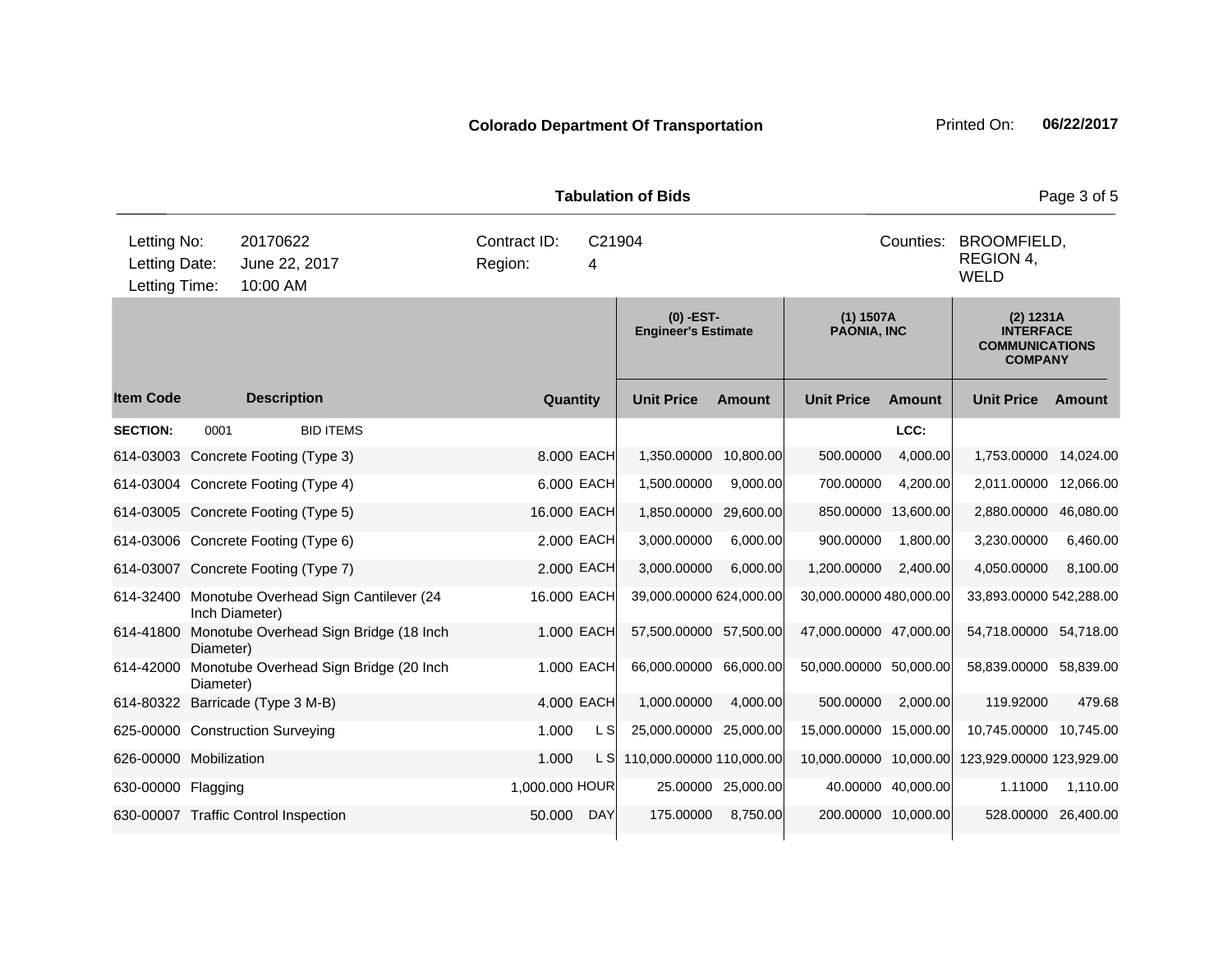|                                               |                |                                                 |                         |          |                | <b>Tabulation of Bids</b>                 |                    |                                   |                    |                                                                          | Page 3 of 5 |
|-----------------------------------------------|----------------|-------------------------------------------------|-------------------------|----------|----------------|-------------------------------------------|--------------------|-----------------------------------|--------------------|--------------------------------------------------------------------------|-------------|
| Letting No:<br>Letting Date:<br>Letting Time: |                | 20170622<br>June 22, 2017<br>10:00 AM           | Contract ID:<br>Region: |          | C21904<br>4    |                                           |                    |                                   | Counties:          | <b>BROOMFIELD,</b><br>REGION 4,<br><b>WELD</b>                           |             |
|                                               |                |                                                 |                         |          |                | $(0)$ -EST-<br><b>Engineer's Estimate</b> |                    | $(1)$ 1507A<br><b>PAONIA, INC</b> |                    | (2) 1231A<br><b>INTERFACE</b><br><b>COMMUNICATIONS</b><br><b>COMPANY</b> |             |
| <b>Item Code</b>                              |                | <b>Description</b>                              |                         | Quantity |                | <b>Unit Price</b>                         | <b>Amount</b>      | <b>Unit Price</b>                 | <b>Amount</b>      | <b>Unit Price</b>                                                        | Amount      |
| <b>SECTION:</b>                               | 0001           | <b>BID ITEMS</b>                                |                         |          |                |                                           |                    |                                   | LCC:               |                                                                          |             |
|                                               |                | 614-03003 Concrete Footing (Type 3)             |                         |          | 8,000 EACH     | 1,350.00000                               | 10,800.00          | 500.00000                         | 4,000.00           | 1,753.00000 14,024.00                                                    |             |
|                                               |                | 614-03004 Concrete Footing (Type 4)             |                         |          | 6.000 EACH     | 1,500.00000                               | 9,000.00           | 700.00000                         | 4,200.00           | 2,011.00000                                                              | 12,066.00   |
|                                               |                | 614-03005 Concrete Footing (Type 5)             |                         |          | 16.000 EACH    | 1,850.00000 29,600.00                     |                    | 850.00000 13,600.00               |                    | 2,880.00000                                                              | 46,080.00   |
|                                               |                | 614-03006 Concrete Footing (Type 6)             |                         |          | 2.000 EACH     | 3,000.00000                               | 6.000.00           | 900.00000                         | 1,800.00           | 3,230.00000                                                              | 6,460.00    |
|                                               |                | 614-03007 Concrete Footing (Type 7)             |                         |          | 2.000 EACH     | 3,000.00000                               | 6,000.00           | 1,200.00000                       | 2,400.00           | 4,050.00000                                                              | 8,100.00    |
|                                               | Inch Diameter) | 614-32400 Monotube Overhead Sign Cantilever (24 |                         |          | 16.000 EACH    | 39,000.00000 624,000.00                   |                    | 30,000.00000 480,000.00           |                    | 33,893.00000 542,288.00                                                  |             |
| 614-41800                                     | Diameter)      | Monotube Overhead Sign Bridge (18 Inch          |                         |          | 1.000 EACH     | 57,500.00000 57,500.00                    |                    | 47,000.00000 47,000.00            |                    | 54,718.00000                                                             | 54,718.00   |
| 614-42000                                     | Diameter)      | Monotube Overhead Sign Bridge (20 Inch          |                         |          | 1.000 EACH     | 66,000.00000 66,000.00                    |                    | 50,000.00000 50,000.00            |                    | 58,839.00000                                                             | 58,839.00   |
|                                               |                | 614-80322 Barricade (Type 3 M-B)                |                         |          | 4.000 EACH     | 1,000.00000                               | 4,000.00           | 500.00000                         | 2,000.00           | 119.92000                                                                | 479.68      |
|                                               |                | 625-00000 Construction Surveying                |                         | 1.000    | L S            | 25,000.00000 25,000.00                    |                    | 15,000.00000 15,000.00            |                    | 10,745.00000 10,745.00                                                   |             |
| 626-00000 Mobilization                        |                |                                                 |                         | 1.000    | L S            | 110,000.00000 110,000.00                  |                    | 10,000.00000 10,000.00            |                    | 123,929.00000 123,929.00                                                 |             |
| 630-00000 Flagging                            |                |                                                 |                         |          | 1,000.000 HOUR |                                           | 25.00000 25,000.00 |                                   | 40.00000 40,000.00 | 1.11000                                                                  | 1,110.00    |
|                                               |                | 630-00007 Traffic Control Inspection            |                         | 50.000   | <b>DAY</b>     | 175.00000                                 | 8,750.00           | 200.00000 10,000.00               |                    | 528.00000                                                                | 26,400.00   |
|                                               |                |                                                 |                         |          |                |                                           |                    |                                   |                    |                                                                          |             |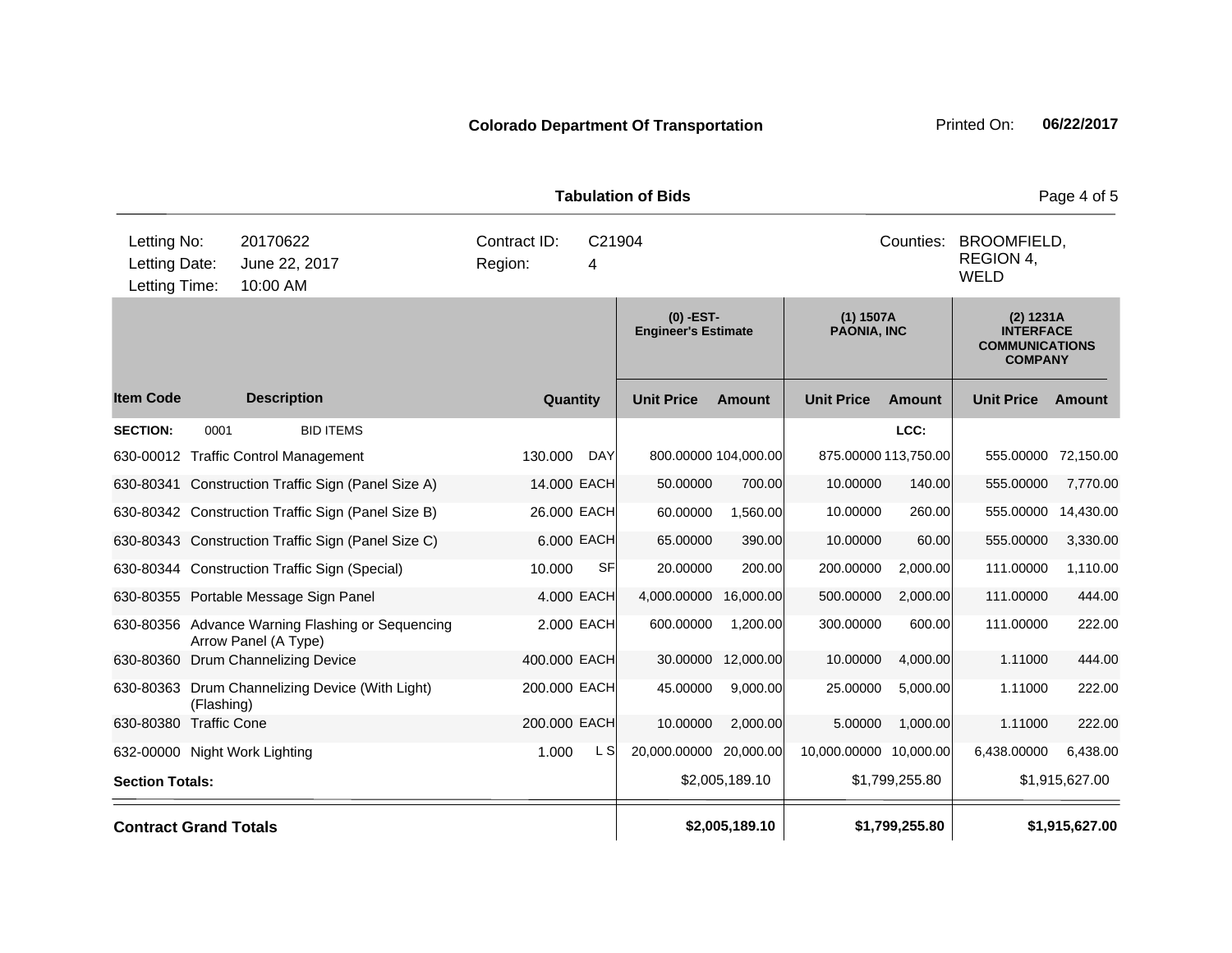|                                               |            |                                                                          |                         |             | <b>Tabulation of Bids</b>               |                      |                          |                |                                                                          | Page 4 of 5    |
|-----------------------------------------------|------------|--------------------------------------------------------------------------|-------------------------|-------------|-----------------------------------------|----------------------|--------------------------|----------------|--------------------------------------------------------------------------|----------------|
| Letting No:<br>Letting Date:<br>Letting Time: |            | 20170622<br>June 22, 2017<br>10:00 AM                                    | Contract ID:<br>Region: | C21904<br>4 |                                         |                      |                          | Counties:      | BROOMFIELD,<br>REGION 4,<br><b>WELD</b>                                  |                |
|                                               |            |                                                                          |                         |             | (0) -EST-<br><b>Engineer's Estimate</b> |                      | (1) 1507A<br>PAONIA, INC |                | (2) 1231A<br><b>INTERFACE</b><br><b>COMMUNICATIONS</b><br><b>COMPANY</b> |                |
| <b>Item Code</b>                              |            | <b>Description</b>                                                       | Quantity                |             | <b>Unit Price</b>                       | <b>Amount</b>        | <b>Unit Price</b>        | <b>Amount</b>  | <b>Unit Price</b>                                                        | Amount         |
| <b>SECTION:</b>                               | 0001       | <b>BID ITEMS</b>                                                         |                         |             |                                         |                      |                          | LCC:           |                                                                          |                |
|                                               |            | 630-00012 Traffic Control Management                                     | 130.000                 | <b>DAY</b>  |                                         | 800.00000 104,000.00 | 875.00000 113,750.00     |                | 555.00000                                                                | 72,150.00      |
|                                               |            | 630-80341 Construction Traffic Sign (Panel Size A)                       | 14.000 EACH             |             | 50.00000                                | 700.00               | 10.00000                 | 140.00         | 555.00000                                                                | 7,770.00       |
|                                               |            | 630-80342 Construction Traffic Sign (Panel Size B)                       | 26.000 EACH             |             | 60.00000                                | 1,560.00             | 10.00000                 | 260.00         | 555.00000                                                                | 14,430.00      |
|                                               |            | 630-80343 Construction Traffic Sign (Panel Size C)                       |                         | 6.000 EACH  | 65.00000                                | 390.00               | 10.00000                 | 60.00          | 555.00000                                                                | 3,330.00       |
|                                               |            | 630-80344 Construction Traffic Sign (Special)                            | 10.000                  | <b>SF</b>   | 20.00000                                | 200.00               | 200.00000                | 2,000.00       | 111.00000                                                                | 1,110.00       |
|                                               |            | 630-80355 Portable Message Sign Panel                                    |                         | 4.000 EACH  | 4,000.00000                             | 16,000.00            | 500.00000                | 2,000.00       | 111.00000                                                                | 444.00         |
|                                               |            | 630-80356 Advance Warning Flashing or Sequencing<br>Arrow Panel (A Type) |                         | 2.000 EACH  | 600.00000                               | 1,200.00             | 300.00000                | 600.00         | 111.00000                                                                | 222.00         |
|                                               |            | 630-80360 Drum Channelizing Device                                       | 400.000 EACH            |             | 30.00000                                | 12,000.00            | 10.00000                 | 4,000.00       | 1.11000                                                                  | 444.00         |
|                                               | (Flashing) | 630-80363 Drum Channelizing Device (With Light)                          | 200.000 EACH            |             | 45.00000                                | 9,000.00             | 25.00000                 | 5,000.00       | 1.11000                                                                  | 222.00         |
| 630-80380 Traffic Cone                        |            |                                                                          | 200.000 EACH            |             | 10.00000                                | 2,000.00             | 5.00000                  | 1,000.00       | 1.11000                                                                  | 222.00         |
|                                               |            | 632-00000 Night Work Lighting                                            | 1.000                   | L S         | 20,000.00000 20,000.00                  |                      | 10,000.00000 10,000.00   |                | 6,438.00000                                                              | 6,438.00       |
| <b>Section Totals:</b>                        |            |                                                                          |                         |             |                                         | \$2,005,189.10       |                          | \$1,799,255.80 |                                                                          | \$1,915,627.00 |
| <b>Contract Grand Totals</b>                  |            |                                                                          |                         |             |                                         | \$2,005,189.10       |                          | \$1,799,255.80 |                                                                          | \$1,915,627.00 |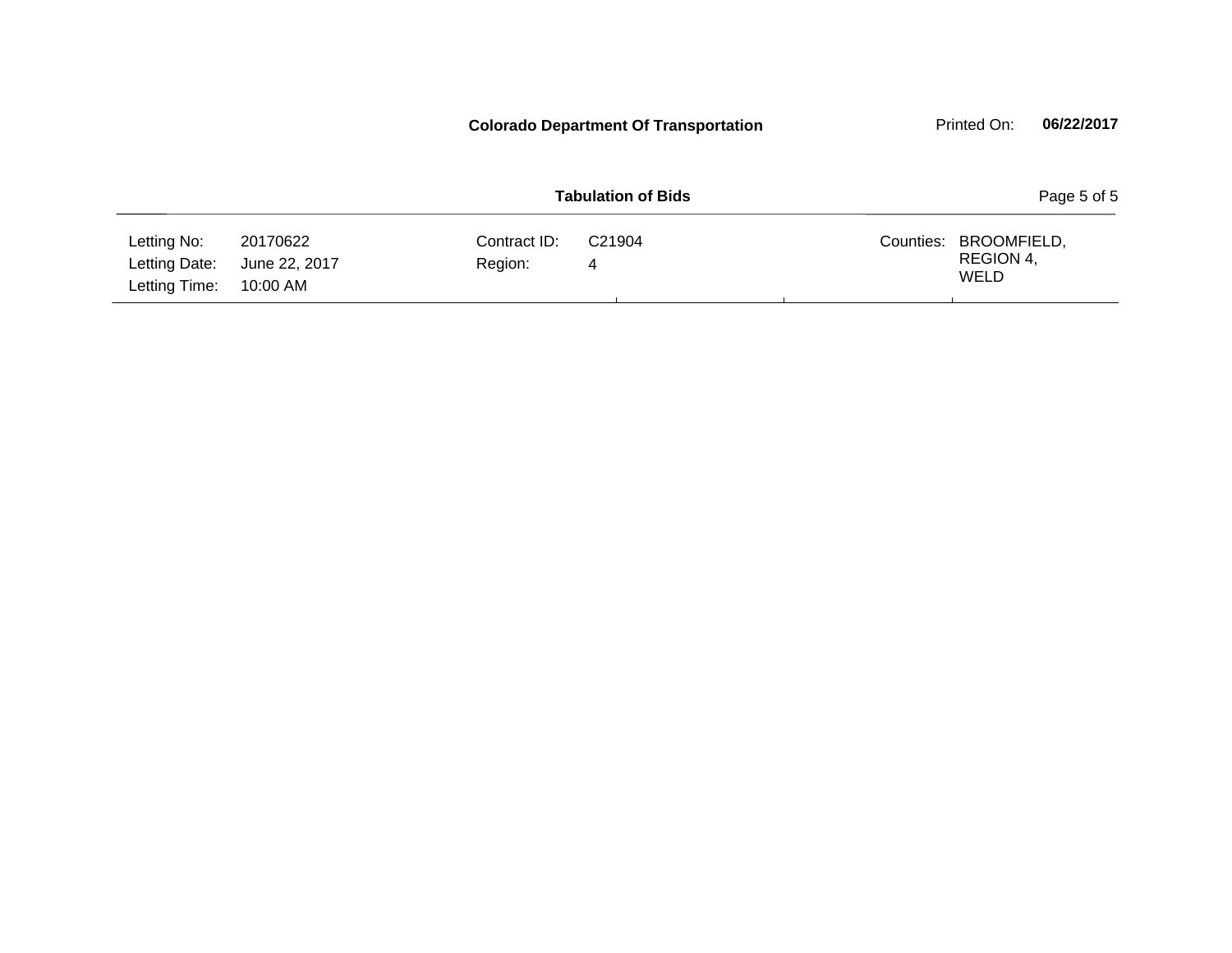|                                               |                                       |                         | <b>Colorado Department Of Transportation</b> |           | Printed On:                             | 06/22/2017  |
|-----------------------------------------------|---------------------------------------|-------------------------|----------------------------------------------|-----------|-----------------------------------------|-------------|
|                                               |                                       |                         | <b>Tabulation of Bids</b>                    |           |                                         | Page 5 of 5 |
| Letting No:<br>Letting Date:<br>Letting Time: | 20170622<br>June 22, 2017<br>10:00 AM | Contract ID:<br>Region: | C <sub>21904</sub><br>4                      | Counties: | BROOMFIELD,<br>REGION 4,<br><b>WELD</b> |             |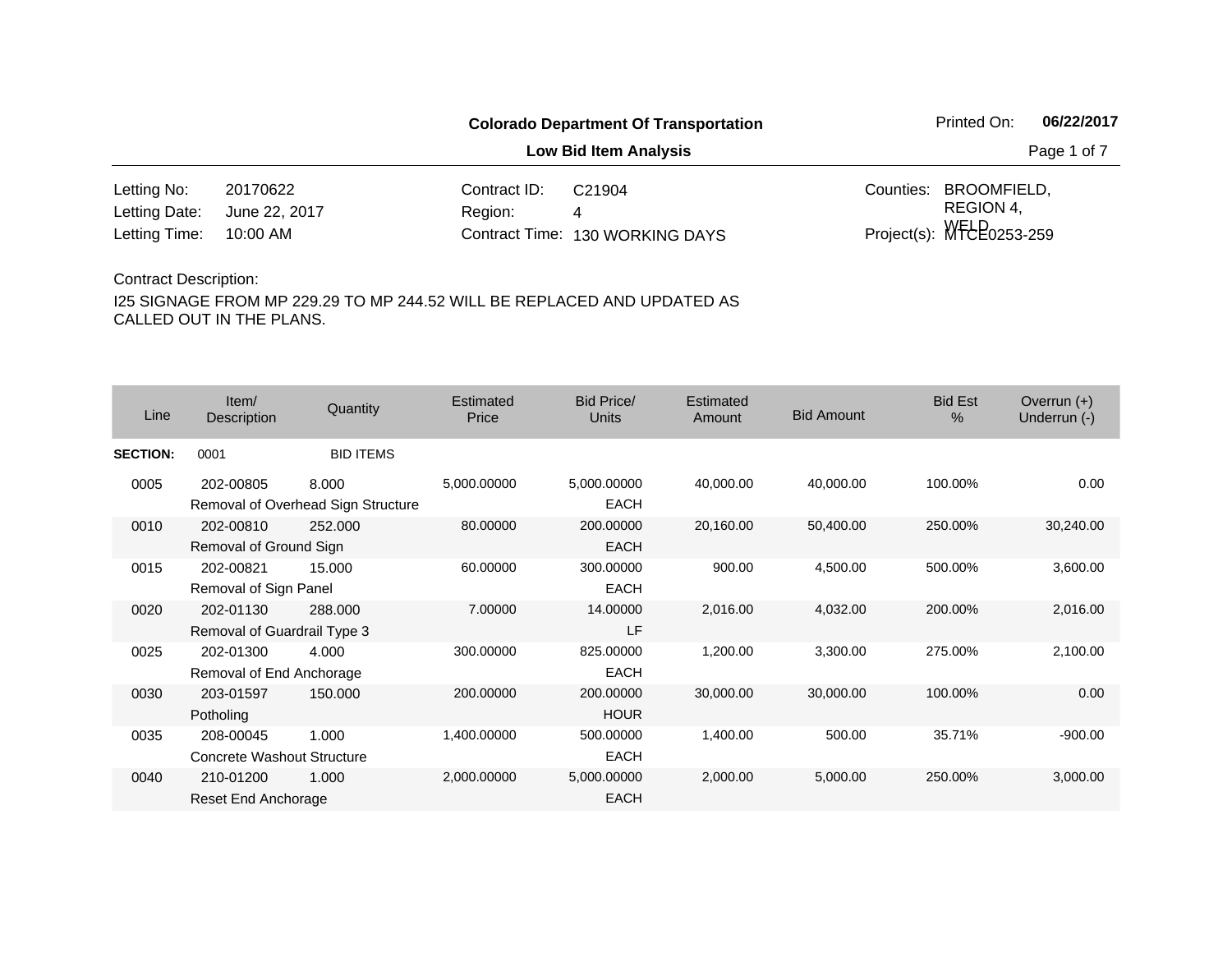**Low Bid Item Analysis Page 1 of 7** 

| Letting No:                 | 20170622 | Contract ID:          | C21904                          | Counties: BROOMFIELD,         |
|-----------------------------|----------|-----------------------|---------------------------------|-------------------------------|
| Letting Date: June 22, 2017 |          | Region: <b>Region</b> |                                 | REGION 4.                     |
| Letting Time: 10:00 AM      |          |                       | Contract Time: 130 WORKING DAYS | Project(s): $WFEE_{0253-259}$ |

#### Contract Description:

| Line            | Item/<br>Description                     | Quantity                                    | <b>Estimated</b><br>Price | <b>Bid Price/</b><br>Units | Estimated<br>Amount | <b>Bid Amount</b> | <b>Bid Est</b><br>$\%$ | Overrun $(+)$<br>Underrun (-) |
|-----------------|------------------------------------------|---------------------------------------------|---------------------------|----------------------------|---------------------|-------------------|------------------------|-------------------------------|
| <b>SECTION:</b> | 0001                                     | <b>BID ITEMS</b>                            |                           |                            |                     |                   |                        |                               |
| 0005            | 202-00805                                | 8.000<br>Removal of Overhead Sign Structure | 5,000.00000               | 5,000.00000<br><b>EACH</b> | 40,000.00           | 40,000.00         | 100.00%                | 0.00                          |
| 0010            | 202-00810<br>Removal of Ground Sign      | 252.000                                     | 80.00000                  | 200.00000<br><b>EACH</b>   | 20,160.00           | 50,400.00         | 250.00%                | 30,240.00                     |
| 0015            | 202-00821<br>Removal of Sign Panel       | 15.000                                      | 60.00000                  | 300.00000<br><b>EACH</b>   | 900.00              | 4,500.00          | 500.00%                | 3,600.00                      |
| 0020            | 202-01130<br>Removal of Guardrail Type 3 | 288,000                                     | 7.00000                   | 14.00000<br>LF             | 2,016.00            | 4,032.00          | 200.00%                | 2,016.00                      |
| 0025            | 202-01300<br>Removal of End Anchorage    | 4.000                                       | 300.00000                 | 825.00000<br>EACH          | 1,200.00            | 3,300.00          | 275.00%                | 2,100.00                      |
| 0030            | 203-01597<br>Potholing                   | 150.000                                     | 200,00000                 | 200.00000<br><b>HOUR</b>   | 30,000.00           | 30,000.00         | 100.00%                | 0.00                          |
| 0035            | 208-00045<br>Concrete Washout Structure  | 1.000                                       | 1,400.00000               | 500.00000<br><b>EACH</b>   | 1,400.00            | 500.00            | 35.71%                 | $-900.00$                     |
| 0040            | 210-01200<br>Reset End Anchorage         | 1.000                                       | 2,000.00000               | 5,000.00000<br><b>EACH</b> | 2,000.00            | 5,000.00          | 250.00%                | 3,000.00                      |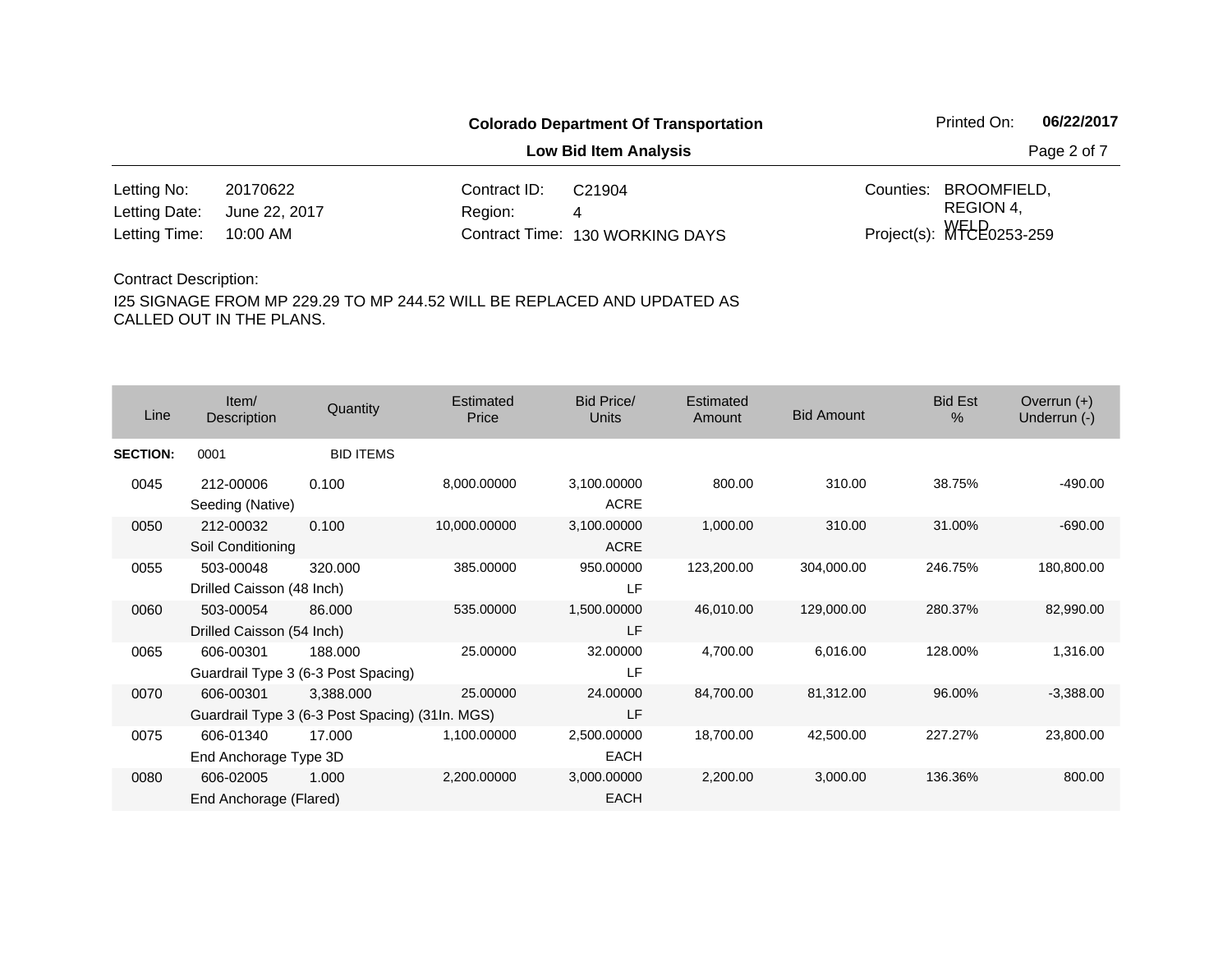**Low Bid Item Analysis Page 2 of 7** 

| Letting No:                 | 20170622 | Contract $ID: C21904$ |                                 | Counties: BROOMFIELD,         |
|-----------------------------|----------|-----------------------|---------------------------------|-------------------------------|
| Letting Date: June 22, 2017 |          | Region:               |                                 | REGION 4.                     |
| Letting Time: 10:00 AM      |          |                       | Contract Time: 130 WORKING DAYS | Project(s): $WFEE_{0253-259}$ |

### Contract Description:

| Line            | Item/<br>Description                   | Quantity                                                     | Estimated<br>Price | <b>Bid Price/</b><br>Units | Estimated<br>Amount | <b>Bid Amount</b> | <b>Bid Est</b><br>$\%$ | Overrun $(+)$<br>Underrun (-) |
|-----------------|----------------------------------------|--------------------------------------------------------------|--------------------|----------------------------|---------------------|-------------------|------------------------|-------------------------------|
| <b>SECTION:</b> | 0001                                   | <b>BID ITEMS</b>                                             |                    |                            |                     |                   |                        |                               |
| 0045            | 212-00006<br>Seeding (Native)          | 0.100                                                        | 8,000.00000        | 3,100.00000<br><b>ACRE</b> | 800.00              | 310.00            | 38.75%                 | $-490.00$                     |
| 0050            | 212-00032<br>Soil Conditioning         | 0.100                                                        | 10,000.00000       | 3,100.00000<br><b>ACRE</b> | 1,000.00            | 310.00            | 31.00%                 | $-690.00$                     |
| 0055            | 503-00048<br>Drilled Caisson (48 Inch) | 320,000                                                      | 385.00000          | 950.00000<br>LF            | 123,200.00          | 304,000.00        | 246.75%                | 180,800.00                    |
| 0060            | 503-00054<br>Drilled Caisson (54 Inch) | 86,000                                                       | 535.00000          | 1,500.00000<br>LF          | 46,010.00           | 129,000.00        | 280.37%                | 82,990.00                     |
| 0065            | 606-00301                              | 188.000<br>Guardrail Type 3 (6-3 Post Spacing)               | 25.00000           | 32.00000<br>LF             | 4,700.00            | 6,016.00          | 128.00%                | 1,316.00                      |
| 0070            | 606-00301                              | 3,388.000<br>Guardrail Type 3 (6-3 Post Spacing) (31In. MGS) | 25.00000           | 24.00000<br>LF             | 84,700.00           | 81,312.00         | 96.00%                 | $-3,388.00$                   |
| 0075            | 606-01340<br>End Anchorage Type 3D     | 17.000                                                       | 1,100.00000        | 2,500.00000<br><b>EACH</b> | 18,700.00           | 42,500.00         | 227.27%                | 23,800.00                     |
| 0080            | 606-02005<br>End Anchorage (Flared)    | 1.000                                                        | 2,200.00000        | 3,000.00000<br><b>EACH</b> | 2,200.00            | 3,000.00          | 136.36%                | 800.00                        |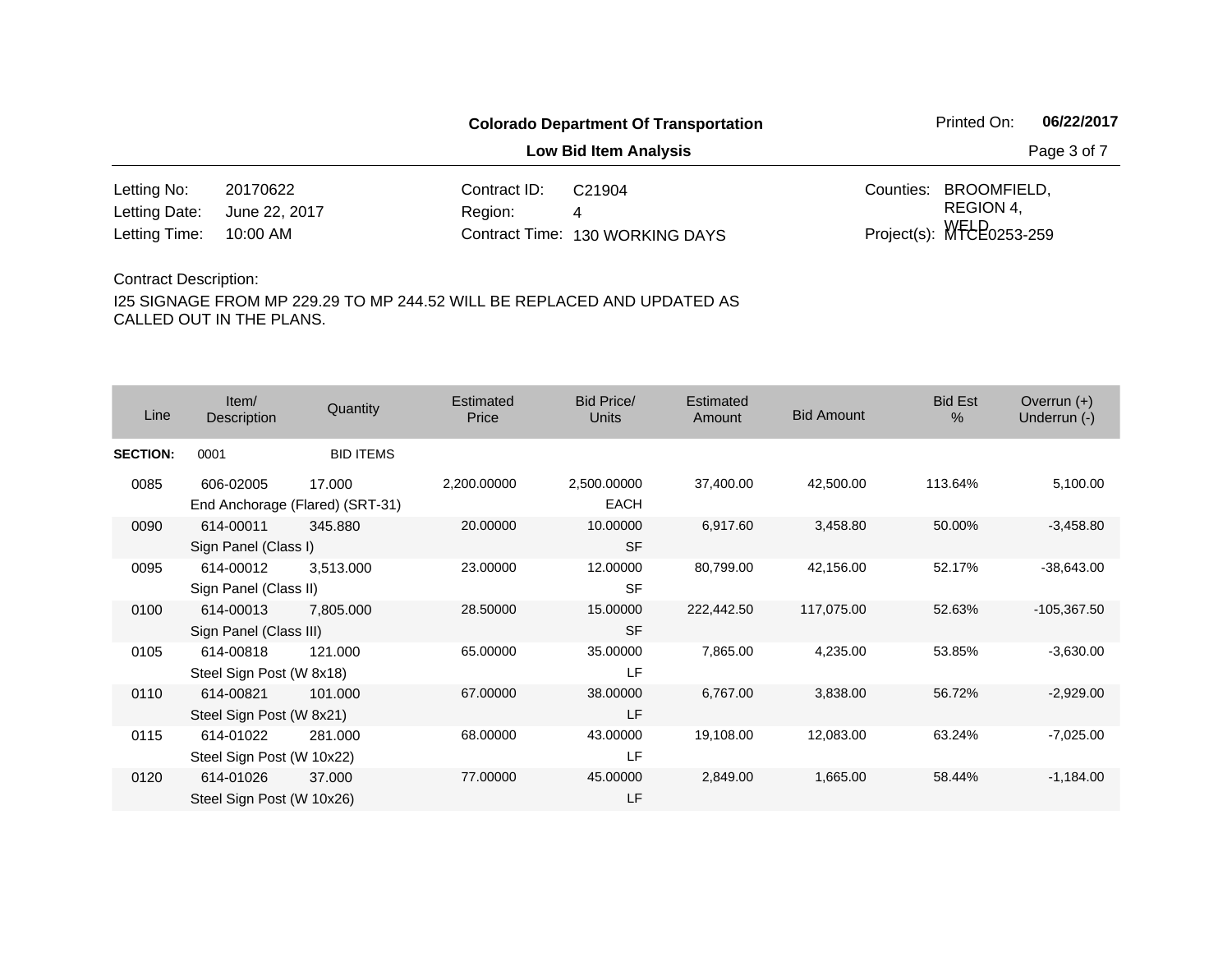**Low Bid Item Analysis Page 3 of 7** 

| Letting No:                 | 20170622 | Contract $ID: C21904$ |                                 | Counties: BROOMFIELD.         |
|-----------------------------|----------|-----------------------|---------------------------------|-------------------------------|
| Letting Date: June 22, 2017 |          | <b>Region:</b>        |                                 | REGION 4.                     |
| Letting Time: 10:00 AM      |          |                       | Contract Time: 130 WORKING DAYS | Project(s): $WFEE_{0253-259}$ |

#### Contract Description:

| Line            | Item/<br>Description                   | Quantity                                  | <b>Estimated</b><br>Price | <b>Bid Price/</b><br><b>Units</b> | Estimated<br>Amount | <b>Bid Amount</b> | <b>Bid Est</b><br>$\%$ | Overrun $(+)$<br>Underrun (-) |
|-----------------|----------------------------------------|-------------------------------------------|---------------------------|-----------------------------------|---------------------|-------------------|------------------------|-------------------------------|
| <b>SECTION:</b> | 0001                                   | <b>BID ITEMS</b>                          |                           |                                   |                     |                   |                        |                               |
| 0085            | 606-02005                              | 17.000<br>End Anchorage (Flared) (SRT-31) | 2,200.00000               | 2,500.00000<br><b>EACH</b>        | 37,400.00           | 42,500.00         | 113.64%                | 5,100.00                      |
| 0090            | 614-00011<br>Sign Panel (Class I)      | 345,880                                   | 20.00000                  | 10.00000<br><b>SF</b>             | 6,917.60            | 3,458.80          | 50.00%                 | $-3,458.80$                   |
| 0095            | 614-00012<br>Sign Panel (Class II)     | 3,513.000                                 | 23.00000                  | 12.00000<br><b>SF</b>             | 80,799.00           | 42,156.00         | 52.17%                 | $-38,643.00$                  |
| 0100            | 614-00013<br>Sign Panel (Class III)    | 7,805.000                                 | 28.50000                  | 15.00000<br><b>SF</b>             | 222,442.50          | 117,075.00        | 52.63%                 | $-105,367.50$                 |
| 0105            | 614-00818<br>Steel Sign Post (W 8x18)  | 121.000                                   | 65.00000                  | 35.00000<br>LF                    | 7,865.00            | 4,235.00          | 53.85%                 | $-3,630.00$                   |
| 0110            | 614-00821<br>Steel Sign Post (W 8x21)  | 101.000                                   | 67.00000                  | 38.00000<br>LF                    | 6,767.00            | 3,838.00          | 56.72%                 | $-2,929.00$                   |
| 0115            | 614-01022<br>Steel Sign Post (W 10x22) | 281.000                                   | 68.00000                  | 43.00000<br>LF                    | 19,108.00           | 12,083.00         | 63.24%                 | $-7,025.00$                   |
| 0120            | 614-01026<br>Steel Sign Post (W 10x26) | 37.000                                    | 77.00000                  | 45.00000<br>LF                    | 2,849.00            | 1,665.00          | 58.44%                 | $-1,184.00$                   |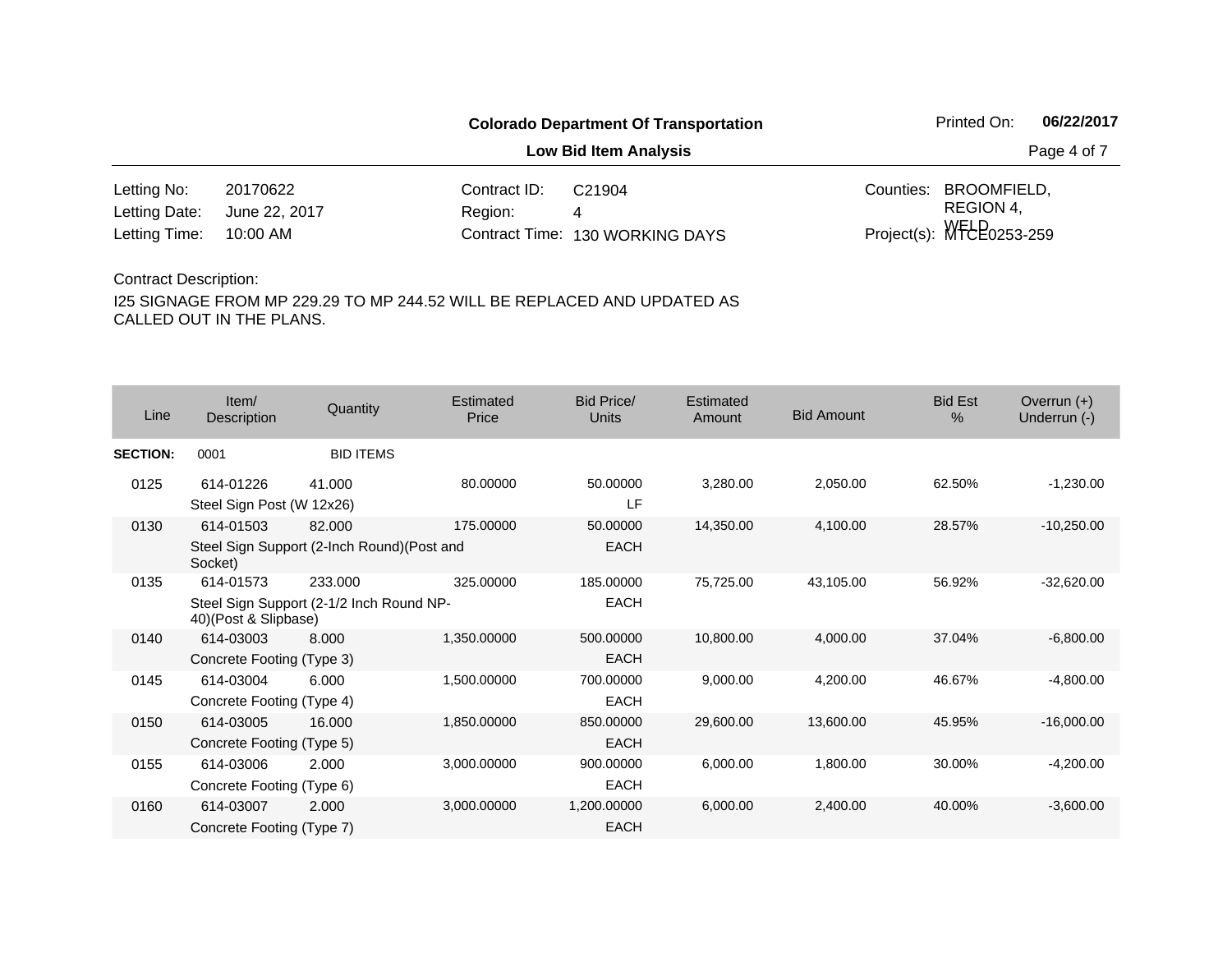**Low Bid Item Analysis Page 4 of 7** 

| Letting No:                 | 20170622 | Contract ID: | C <sub>21904</sub>              | Counties: BROOMFIELD,         |
|-----------------------------|----------|--------------|---------------------------------|-------------------------------|
| Letting Date: June 22, 2017 |          | Region:      |                                 | REGION 4.                     |
| Letting Time: 10:00 AM      |          |              | Contract Time: 130 WORKING DAYS | Project(s): $WFEE_{0253-259}$ |

#### Contract Description:

| Line            | Item/<br>Description                   | Quantity                                              | Estimated<br>Price | <b>Bid Price/</b><br>Units | Estimated<br>Amount | <b>Bid Amount</b> | <b>Bid Est</b><br>% | Overrun $(+)$<br>Underrun (-) |
|-----------------|----------------------------------------|-------------------------------------------------------|--------------------|----------------------------|---------------------|-------------------|---------------------|-------------------------------|
| <b>SECTION:</b> | 0001                                   | <b>BID ITEMS</b>                                      |                    |                            |                     |                   |                     |                               |
| 0125            | 614-01226<br>Steel Sign Post (W 12x26) | 41.000                                                | 80.00000           | 50.00000<br>LF             | 3,280.00            | 2,050.00          | 62.50%              | $-1,230.00$                   |
| 0130            | 614-01503<br>Socket)                   | 82.000<br>Steel Sign Support (2-Inch Round) (Post and | 175,00000          | 50.00000<br><b>EACH</b>    | 14.350.00           | 4,100.00          | 28.57%              | $-10,250.00$                  |
| 0135            | 614-01573<br>40)(Post & Slipbase)      | 233.000<br>Steel Sign Support (2-1/2 Inch Round NP-   | 325,00000          | 185.00000<br><b>EACH</b>   | 75,725.00           | 43,105.00         | 56.92%              | $-32,620.00$                  |
| 0140            | 614-03003<br>Concrete Footing (Type 3) | 8.000                                                 | 1,350.00000        | 500.00000<br><b>EACH</b>   | 10,800.00           | 4,000.00          | 37.04%              | $-6,800.00$                   |
| 0145            | 614-03004<br>Concrete Footing (Type 4) | 6.000                                                 | 1,500.00000        | 700.00000<br><b>EACH</b>   | 9,000.00            | 4,200.00          | 46.67%              | $-4,800.00$                   |
| 0150            | 614-03005<br>Concrete Footing (Type 5) | 16,000                                                | 1,850.00000        | 850,00000<br><b>EACH</b>   | 29,600.00           | 13,600.00         | 45.95%              | $-16,000.00$                  |
| 0155            | 614-03006<br>Concrete Footing (Type 6) | 2.000                                                 | 3,000.00000        | 900.00000<br><b>EACH</b>   | 6,000.00            | 1,800.00          | 30.00%              | $-4,200.00$                   |
| 0160            | 614-03007<br>Concrete Footing (Type 7) | 2.000                                                 | 3,000.00000        | 1,200.00000<br><b>EACH</b> | 6,000.00            | 2,400.00          | 40.00%              | $-3,600.00$                   |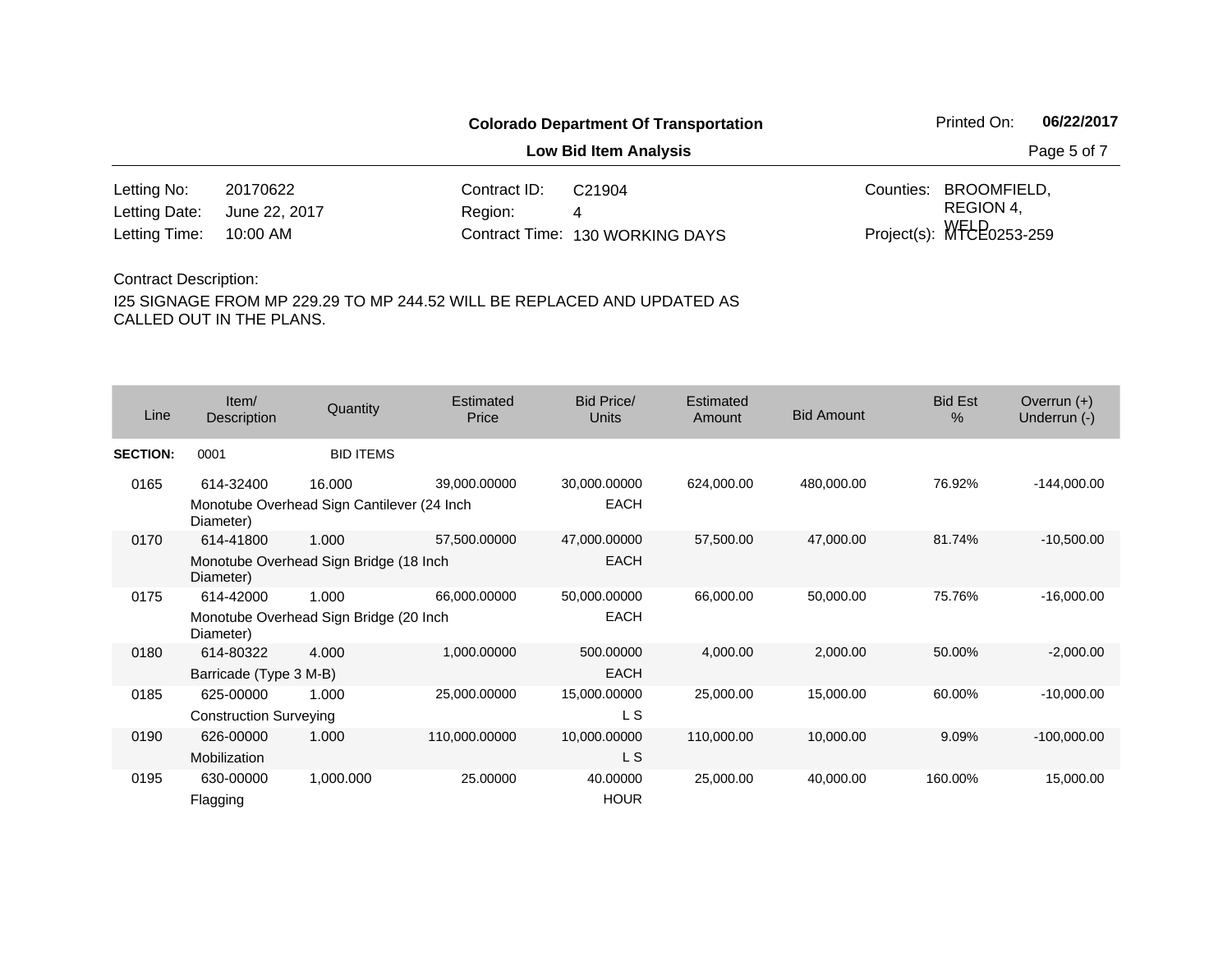**Low Bid Item Analysis Page 5 of 7** 

| Letting No:                 | 20170622 | Contract ID: | C21904                          | Counties: BROOMFIELD,         |
|-----------------------------|----------|--------------|---------------------------------|-------------------------------|
| Letting Date: June 22, 2017 |          | Region:      |                                 | REGION 4.                     |
| Letting Time: 10:00 AM      |          |              | Contract Time: 130 WORKING DAYS | Project(s): $WFEE_{0253-259}$ |

#### Contract Description:

| Line            | Item/<br>Description          | Quantity                                   | Estimated<br>Price | <b>Bid Price/</b><br><b>Units</b> | <b>Estimated</b><br>Amount | <b>Bid Amount</b> | <b>Bid Est</b><br>$\%$ | Overrun $(+)$<br>Underrun (-) |
|-----------------|-------------------------------|--------------------------------------------|--------------------|-----------------------------------|----------------------------|-------------------|------------------------|-------------------------------|
| <b>SECTION:</b> | 0001                          | <b>BID ITEMS</b>                           |                    |                                   |                            |                   |                        |                               |
| 0165            | 614-32400                     | 16.000                                     | 39,000.00000       | 30,000.00000                      | 624,000.00                 | 480,000.00        | 76.92%                 | $-144,000.00$                 |
|                 | Diameter)                     | Monotube Overhead Sign Cantilever (24 Inch |                    | <b>EACH</b>                       |                            |                   |                        |                               |
| 0170            | 614-41800                     | 1.000                                      | 57,500.00000       | 47,000.00000                      | 57,500.00                  | 47,000.00         | 81.74%                 | $-10,500.00$                  |
|                 | Diameter)                     | Monotube Overhead Sign Bridge (18 Inch     |                    | <b>EACH</b>                       |                            |                   |                        |                               |
| 0175            | 614-42000                     | 1.000                                      | 66,000.00000       | 50,000.00000                      | 66,000.00                  | 50,000.00         | 75.76%                 | $-16,000.00$                  |
|                 | Diameter)                     | Monotube Overhead Sign Bridge (20 Inch     |                    | <b>EACH</b>                       |                            |                   |                        |                               |
| 0180            | 614-80322                     | 4.000                                      | 1,000.00000        | 500.00000                         | 4,000.00                   | 2,000.00          | 50.00%                 | $-2,000.00$                   |
|                 | Barricade (Type 3 M-B)        |                                            |                    | <b>EACH</b>                       |                            |                   |                        |                               |
| 0185            | 625-00000                     | 1.000                                      | 25,000.00000       | 15,000.00000                      | 25,000.00                  | 15,000.00         | 60.00%                 | $-10,000.00$                  |
|                 | <b>Construction Surveying</b> |                                            |                    | L S                               |                            |                   |                        |                               |
| 0190            | 626-00000                     | 1.000                                      | 110,000.00000      | 10,000.00000                      | 110,000.00                 | 10,000.00         | 9.09%                  | $-100,000.00$                 |
|                 | Mobilization                  |                                            |                    | L S                               |                            |                   |                        |                               |
| 0195            | 630-00000                     | 1,000.000                                  | 25.00000           | 40.00000                          | 25,000.00                  | 40,000.00         | 160.00%                | 15,000.00                     |
|                 | Flagging                      |                                            |                    | <b>HOUR</b>                       |                            |                   |                        |                               |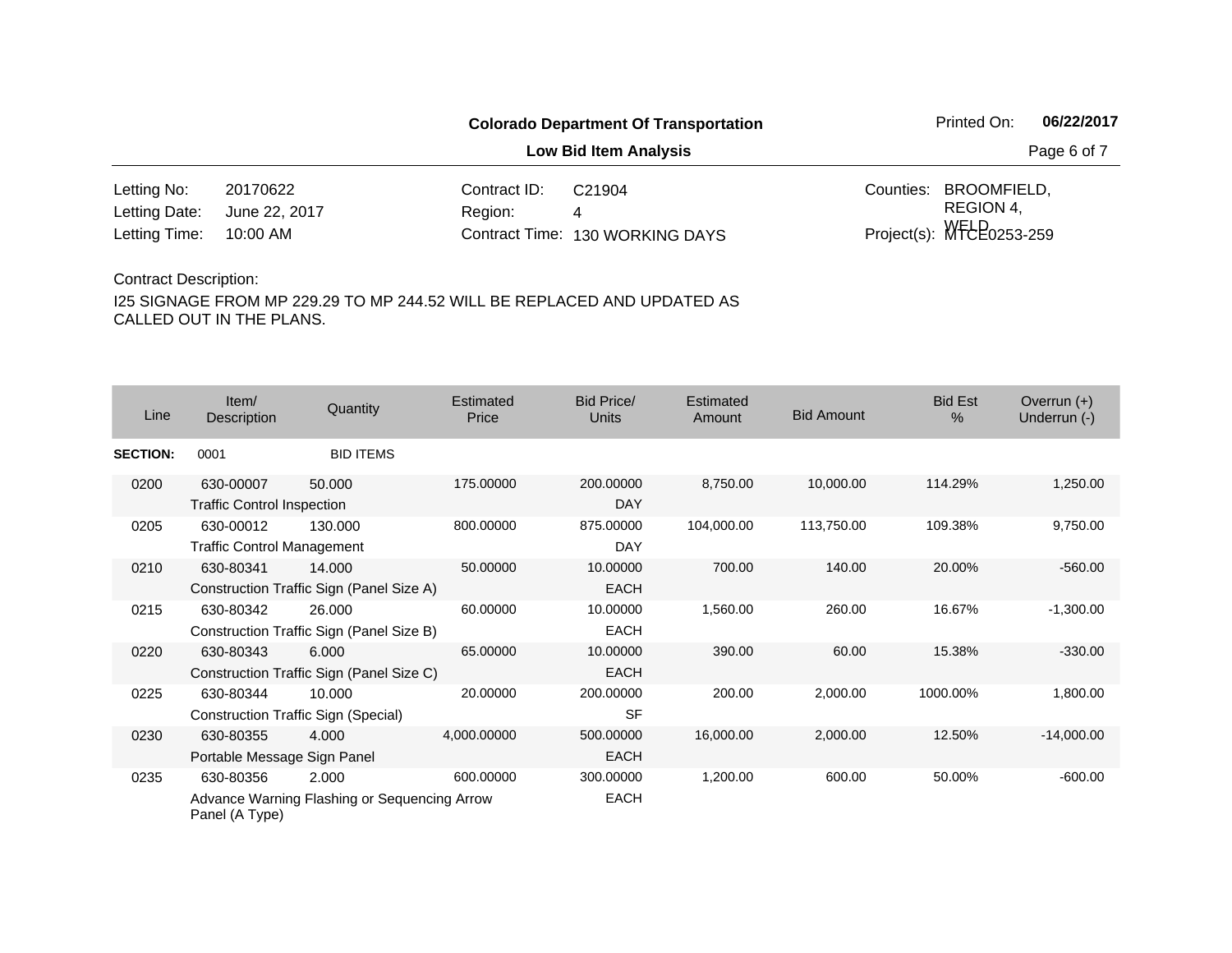**Low Bid Item Analysis Page 6 of 7** 

| Letting No:                 | 20170622 | Contract $ID: C21904$ |                                 | Counties: BROOMFIELD.         |
|-----------------------------|----------|-----------------------|---------------------------------|-------------------------------|
| Letting Date: June 22, 2017 |          | <b>Region:</b>        |                                 | REGION 4.                     |
| Letting Time: 10:00 AM      |          |                       | Contract Time: 130 WORKING DAYS | Project(s): $WFEE_{0253-259}$ |

#### Contract Description:

| Line            | Item/<br>Description                           | Quantity                                              | Estimated<br>Price | <b>Bid Price/</b><br>Units | Estimated<br>Amount | <b>Bid Amount</b> | <b>Bid Est</b><br>$\%$ | Overrun $(+)$<br>Underrun (-) |
|-----------------|------------------------------------------------|-------------------------------------------------------|--------------------|----------------------------|---------------------|-------------------|------------------------|-------------------------------|
| <b>SECTION:</b> | 0001                                           | <b>BID ITEMS</b>                                      |                    |                            |                     |                   |                        |                               |
| 0200            | 630-00007<br><b>Traffic Control Inspection</b> | 50.000                                                | 175,00000          | 200.00000<br><b>DAY</b>    | 8,750.00            | 10,000.00         | 114.29%                | 1,250.00                      |
| 0205            | 630-00012<br><b>Traffic Control Management</b> | 130.000                                               | 800.00000          | 875.00000<br>DAY           | 104,000.00          | 113,750.00        | 109.38%                | 9,750.00                      |
| 0210            | 630-80341                                      | 14.000<br>Construction Traffic Sign (Panel Size A)    | 50.00000           | 10.00000<br><b>EACH</b>    | 700.00              | 140.00            | 20.00%                 | $-560.00$                     |
| 0215            | 630-80342                                      | 26.000<br>Construction Traffic Sign (Panel Size B)    | 60.00000           | 10.00000<br><b>EACH</b>    | 1,560.00            | 260.00            | 16.67%                 | $-1,300.00$                   |
| 0220            | 630-80343                                      | 6.000<br>Construction Traffic Sign (Panel Size C)     | 65.00000           | 10.00000<br><b>EACH</b>    | 390.00              | 60.00             | 15.38%                 | $-330.00$                     |
| 0225            | 630-80344                                      | 10.000<br><b>Construction Traffic Sign (Special)</b>  | 20.00000           | 200.00000<br><b>SF</b>     | 200.00              | 2,000.00          | 1000.00%               | 1,800.00                      |
| 0230            | 630-80355<br>Portable Message Sign Panel       | 4.000                                                 | 4,000.00000        | 500.00000<br><b>EACH</b>   | 16,000.00           | 2,000.00          | 12.50%                 | $-14,000.00$                  |
| 0235            | 630-80356<br>Panel (A Type)                    | 2.000<br>Advance Warning Flashing or Sequencing Arrow | 600.00000          | 300.00000<br><b>EACH</b>   | 1,200.00            | 600.00            | 50.00%                 | $-600.00$                     |